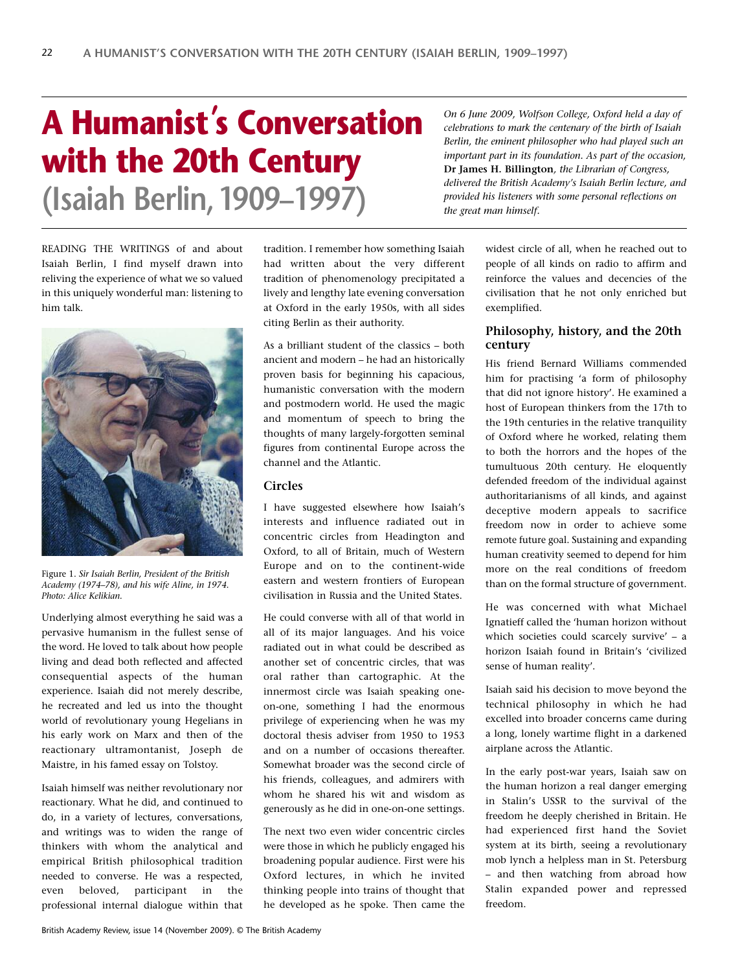# **A Humanist' s Conversation with the 20th Century (Isaiah Berlin,1909–1997)**

*On 6 June 2009, Wolfson College, Oxford held a day of celebrations to mark the centenary of the birth of Isaiah Berlin, the eminent philosopher who had played such an important part in its foundation. As part of the occasion,* **Dr James H. Billington***, the Librarian of Congress, delivered the British Academy's Isaiah Berlin lecture, and provided his listeners with some personal reflections on the great man himself.*

READING THE WRITINGS of and about Isaiah Berlin, I find myself drawn into reliving the experience of what we so valued in this uniquely wonderful man: listening to him talk.



Figure 1. *Sir Isaiah Berlin, President of the British Academy (1974–78), and his wife Aline, in 1974. Photo: Alice Kelikian.*

Underlying almost everything he said was a pervasive humanism in the fullest sense of the word. He loved to talk about how people living and dead both reflected and affected consequential aspects of the human experience. Isaiah did not merely describe, he recreated and led us into the thought world of revolutionary young Hegelians in his early work on Marx and then of the reactionary ultramontanist, Joseph de Maistre, in his famed essay on Tolstoy.

Isaiah himself was neither revolutionary nor reactionary. What he did, and continued to do, in a variety of lectures, conversations, and writings was to widen the range of thinkers with whom the analytical and empirical British philosophical tradition needed to converse. He was a respected, even beloved, participant in the professional internal dialogue within that

tradition. I remember how something Isaiah had written about the very different tradition of phenomenology precipitated a lively and lengthy late evening conversation at Oxford in the early 1950s, with all sides citing Berlin as their authority.

As a brilliant student of the classics – both ancient and modern – he had an historically proven basis for beginning his capacious, humanistic conversation with the modern and postmodern world. He used the magic and momentum of speech to bring the thoughts of many largely-forgotten seminal figures from continental Europe across the channel and the Atlantic.

# **Circles**

I have suggested elsewhere how Isaiah's interests and influence radiated out in concentric circles from Headington and Oxford, to all of Britain, much of Western Europe and on to the continent-wide eastern and western frontiers of European civilisation in Russia and the United States.

He could converse with all of that world in all of its major languages. And his voice radiated out in what could be described as another set of concentric circles, that was oral rather than cartographic. At the innermost circle was Isaiah speaking oneon-one, something I had the enormous privilege of experiencing when he was my doctoral thesis adviser from 1950 to 1953 and on a number of occasions thereafter. Somewhat broader was the second circle of his friends, colleagues, and admirers with whom he shared his wit and wisdom as generously as he did in one-on-one settings.

The next two even wider concentric circles were those in which he publicly engaged his broadening popular audience. First were his Oxford lectures, in which he invited thinking people into trains of thought that he developed as he spoke. Then came the

widest circle of all, when he reached out to people of all kinds on radio to affirm and reinforce the values and decencies of the civilisation that he not only enriched but exemplified.

# **Philosophy, history, and the 20th century**

His friend Bernard Williams commended him for practising 'a form of philosophy that did not ignore history'. He examined a host of European thinkers from the 17th to the 19th centuries in the relative tranquility of Oxford where he worked, relating them to both the horrors and the hopes of the tumultuous 20th century. He eloquently defended freedom of the individual against authoritarianisms of all kinds, and against deceptive modern appeals to sacrifice freedom now in order to achieve some remote future goal. Sustaining and expanding human creativity seemed to depend for him more on the real conditions of freedom than on the formal structure of government.

He was concerned with what Michael Ignatieff called the 'human horizon without which societies could scarcely survive' – a horizon Isaiah found in Britain's 'civilized sense of human reality'.

Isaiah said his decision to move beyond the technical philosophy in which he had excelled into broader concerns came during a long, lonely wartime flight in a darkened airplane across the Atlantic.

In the early post-war years, Isaiah saw on the human horizon a real danger emerging in Stalin's USSR to the survival of the freedom he deeply cherished in Britain. He had experienced first hand the Soviet system at its birth, seeing a revolutionary mob lynch a helpless man in St. Petersburg – and then watching from abroad how Stalin expanded power and repressed freedom.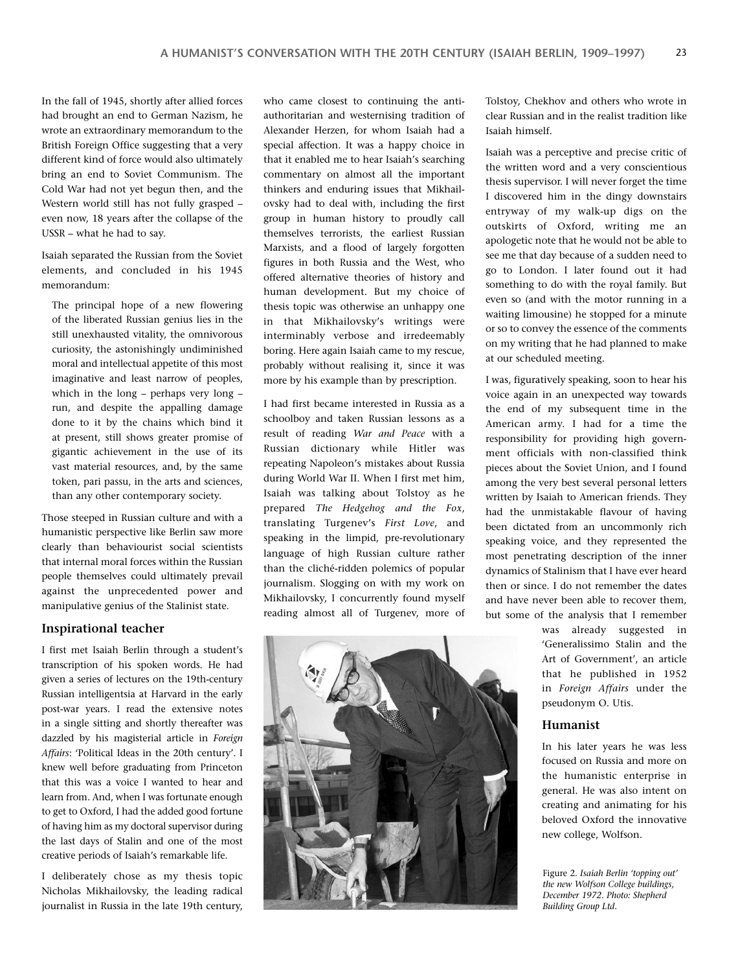In the fall of 1945, shortly after allied forces had brought an end to German Nazism, he wrote an extraordinary memorandum to the British Foreign Office suggesting that a very different kind of force would also ultimately bring an end to Soviet Communism. The Cold War had not yet begun then, and the Western world still has not fully grasped – even now, 18 years after the collapse of the USSR – what he had to say.

Isaiah separated the Russian from the Soviet elements, and concluded in his 1945 memorandum:

The principal hope of a new flowering of the liberated Russian genius lies in the still unexhausted vitality, the omnivorous curiosity, the astonishingly undiminished moral and intellectual appetite of this most imaginative and least narrow of peoples, which in the long – perhaps very long – run, and despite the appalling damage done to it by the chains which bind it at present, still shows greater promise of gigantic achievement in the use of its vast material resources, and, by the same token, pari passu, in the arts and sciences, than any other contemporary society.

Those steeped in Russian culture and with a humanistic perspective like Berlin saw more clearly than behaviourist social scientists that internal moral forces within the Russian people themselves could ultimately prevail against the unprecedented power and manipulative genius of the Stalinist state.

#### **Inspirational teacher**

I first met Isaiah Berlin through a student's transcription of his spoken words. He had given a series of lectures on the 19th-century Russian intelligentsia at Harvard in the early post-war years. I read the extensive notes in a single sitting and shortly thereafter was dazzled by his magisterial article in *Foreign Affairs*: 'Political Ideas in the 20th century'. I knew well before graduating from Princeton that this was a voice I wanted to hear and learn from. And, when I was fortunate enough to get to Oxford, I had the added good fortune of having him as my doctoral supervisor during the last days of Stalin and one of the most creative periods of Isaiah's remarkable life.

I deliberately chose as my thesis topic Nicholas Mikhailovsky, the leading radical journalist in Russia in the late 19th century,

who came closest to continuing the antiauthoritarian and westernising tradition of Alexander Herzen, for whom Isaiah had a special affection. It was a happy choice in that it enabled me to hear Isaiah's searching commentary on almost all the important thinkers and enduring issues that Mikhailovsky had to deal with, including the first group in human history to proudly call themselves terrorists, the earliest Russian Marxists, and a flood of largely forgotten figures in both Russia and the West, who offered alternative theories of history and human development. But my choice of thesis topic was otherwise an unhappy one in that Mikhailovsky's writings were interminably verbose and irredeemably boring. Here again Isaiah came to my rescue, probably without realising it, since it was more by his example than by prescription.

I had first became interested in Russia as a schoolboy and taken Russian lessons as a result of reading *War and Peace* with a Russian dictionary while Hitler was repeating Napoleon's mistakes about Russia during World War II. When I first met him, Isaiah was talking about Tolstoy as he prepared *The Hedgehog and the Fox*, translating Turgenev's *First Love*, and speaking in the limpid, pre-revolutionary language of high Russian culture rather than the cliché-ridden polemics of popular journalism. Slogging on with my work on Mikhailovsky, I concurrently found myself reading almost all of Turgenev, more of



Tolstoy, Chekhov and others who wrote in clear Russian and in the realist tradition like Isaiah himself.

Isaiah was a perceptive and precise critic of the written word and a very conscientious thesis supervisor. I will never forget the time I discovered him in the dingy downstairs entryway of my walk-up digs on the outskirts of Oxford, writing me an apologetic note that he would not be able to see me that day because of a sudden need to go to London. I later found out it had something to do with the royal family. But even so (and with the motor running in a waiting limousine) he stopped for a minute or so to convey the essence of the comments on my writing that he had planned to make at our scheduled meeting.

I was, figuratively speaking, soon to hear his voice again in an unexpected way towards the end of my subsequent time in the American army. I had for a time the responsibility for providing high government officials with non-classified think pieces about the Soviet Union, and I found among the very best several personal letters written by Isaiah to American friends. They had the unmistakable flavour of having been dictated from an uncommonly rich speaking voice, and they represented the most penetrating description of the inner dynamics of Stalinism that I have ever heard then or since. I do not remember the dates and have never been able to recover them, but some of the analysis that I remember

> was already suggested in 'Generalissimo Stalin and the Art of Government', an article that he published in 1952 in *Foreign Affairs* under the pseudonym O. Utis.

## **Humanist**

In his later years he was less focused on Russia and more on the humanistic enterprise in general. He was also intent on creating and animating for his beloved Oxford the innovative new college, Wolfson.

Figure 2. *Isaiah Berlin 'topping out' the new Wolfson College buildings, December 1972. Photo: Shepherd Building Group Ltd.*